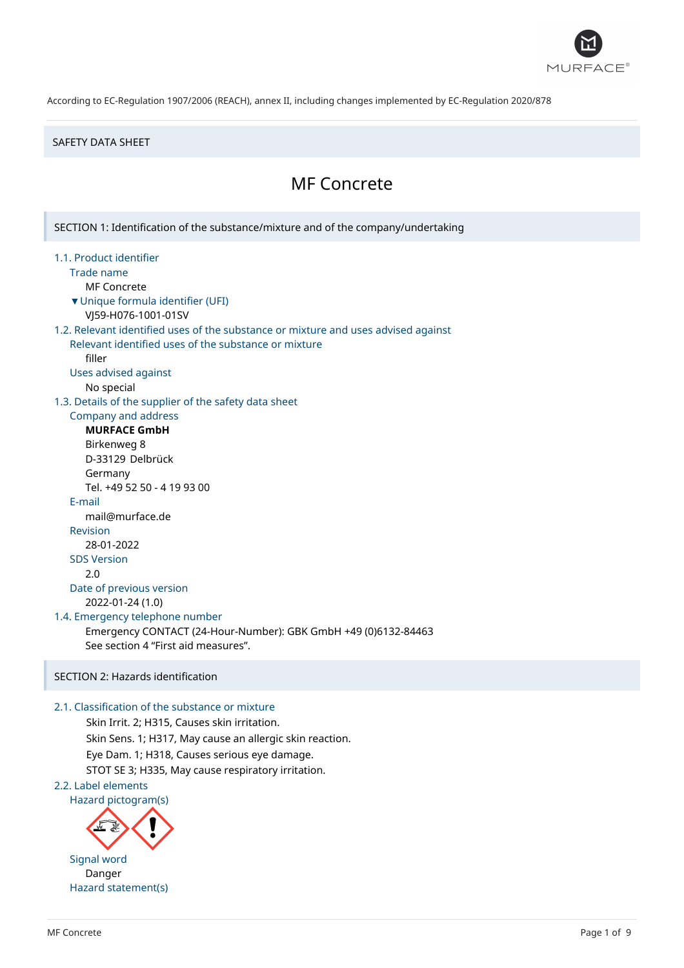

#### SAFETY DATA SHEET

# MF Concrete

SECTION 1: Identification of the substance/mixture and of the company/undertaking 1.1. Product identifier Trade name MF Concrete ▼Unique formula identifier (UFI) VJ59-H076-1001-01SV 1.2. Relevant identified uses of the substance or mixture and uses advised against Relevant identified uses of the substance or mixture filler Uses advised against No special 1.3. Details of the supplier of the safety data sheet Company and address **MURFACE GmbH** Birkenweg 8 D-33129 Delbrück Germany Tel. +49 52 50 - 4 19 93 00 E-mail mail@murface.de Revision 28-01-2022 SDS Version 2.0 Date of previous version 2022-01-24 (1.0) 1.4. Emergency telephone number Emergency CONTACT (24-Hour-Number): GBK GmbH +49 (0)6132-84463 See section 4 "First aid measures". SECTION 2: Hazards identification

# 2.1. Classification of the substance or mixture

Skin Irrit. 2; H315, Causes skin irritation. Skin Sens. 1; H317, May cause an allergic skin reaction. Eye Dam. 1; H318, Causes serious eye damage. STOT SE 3; H335, May cause respiratory irritation. 2.2. Label elements

Hazard pictogram(s)



Danger Hazard statement(s)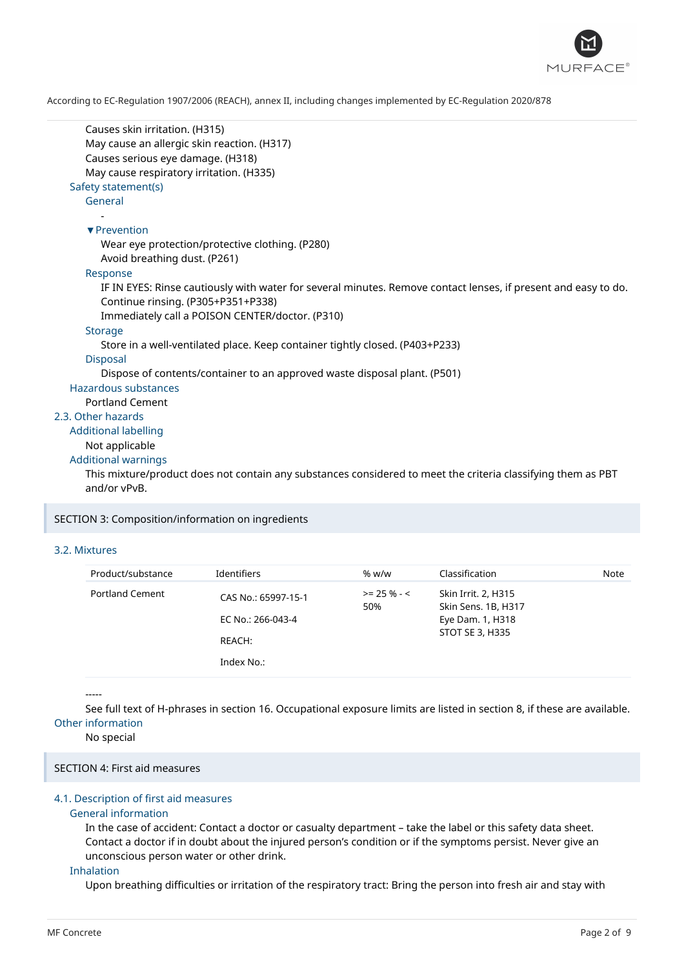

```
Causes skin irritation. (H315)
      May cause an allergic skin reaction. (H317)
      Causes serious eye damage. (H318)
      May cause respiratory irritation. (H335)
   Safety statement(s)
      General
         -
      ▼Prevention
         Wear eye protection/protective clothing. (P280)
         Avoid breathing dust. (P261)
      Response
         IF IN EYES: Rinse cautiously with water for several minutes. Remove contact lenses, if present and easy to do.
         Continue rinsing. (P305+P351+P338)
         Immediately call a POISON CENTER/doctor. (P310)
      Storage
         Store in a well-ventilated place. Keep container tightly closed. (P403+P233)
      Disposal
         Dispose of contents/container to an approved waste disposal plant. (P501)
   Hazardous substances
      Portland Cement
2.3. Other hazards
  Additional labelling
      Not applicable
  Additional warnings
      This mixture/product does not contain any substances considered to meet the criteria classifying them as PBT
      and/or vPvB.
```
SECTION 3: Composition/information on ingredients

# 3.2. Mixtures

| Product/substance      | Identifiers                                                      | % $w/w$               | Classification                                                                    | Note |
|------------------------|------------------------------------------------------------------|-----------------------|-----------------------------------------------------------------------------------|------|
| <b>Portland Cement</b> | CAS No.: 65997-15-1<br>EC No.: 266-043-4<br>REACH:<br>Index No.: | $>= 25 \% - 5$<br>50% | Skin Irrit. 2, H315<br>Skin Sens. 1B, H317<br>Eye Dam. 1, H318<br>STOT SE 3, H335 |      |

-----

See full text of H-phrases in section 16. Occupational exposure limits are listed in section 8, if these are available. Other information

No special

# SECTION 4: First aid measures

# 4.1. Description of first aid measures

#### General information

In the case of accident: Contact a doctor or casualty department – take the label or this safety data sheet. Contact a doctor if in doubt about the injured person's condition or if the symptoms persist. Never give an unconscious person water or other drink.

#### Inhalation

Upon breathing difficulties or irritation of the respiratory tract: Bring the person into fresh air and stay with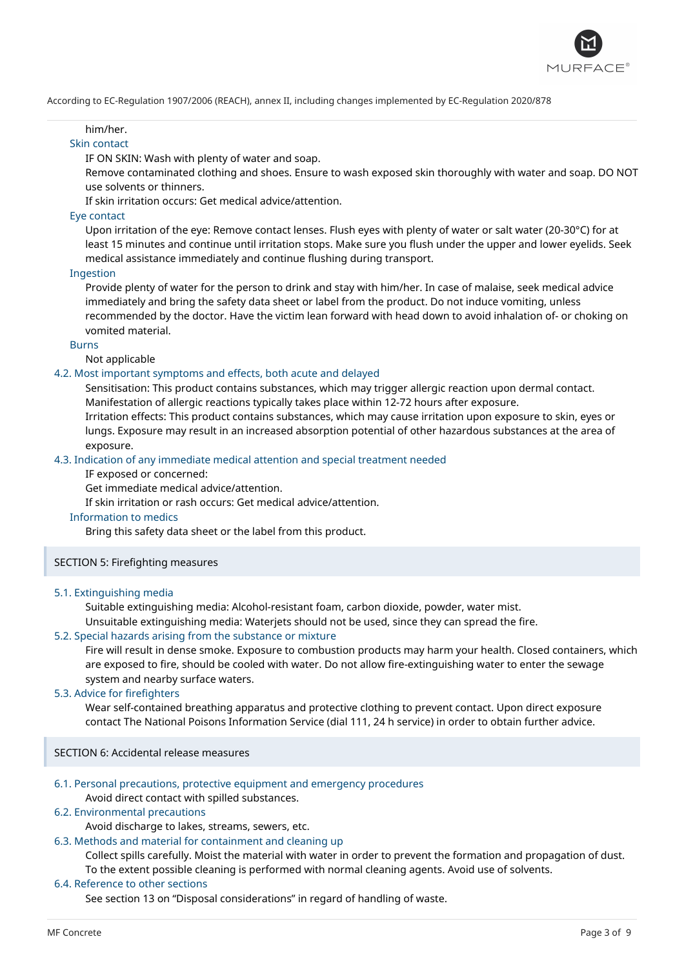

### him/her.

# Skin contact

IF ON SKIN: Wash with plenty of water and soap.

Remove contaminated clothing and shoes. Ensure to wash exposed skin thoroughly with water and soap. DO NOT use solvents or thinners.

If skin irritation occurs: Get medical advice/attention.

#### Eye contact

Upon irritation of the eye: Remove contact lenses. Flush eyes with plenty of water or salt water (20-30°C) for at least 15 minutes and continue until irritation stops. Make sure you flush under the upper and lower eyelids. Seek medical assistance immediately and continue flushing during transport.

### Ingestion

Provide plenty of water for the person to drink and stay with him/her. In case of malaise, seek medical advice immediately and bring the safety data sheet or label from the product. Do not induce vomiting, unless recommended by the doctor. Have the victim lean forward with head down to avoid inhalation of- or choking on vomited material.

#### Burns

Not applicable

# 4.2. Most important symptoms and effects, both acute and delayed

Sensitisation: This product contains substances, which may trigger allergic reaction upon dermal contact. Manifestation of allergic reactions typically takes place within 12-72 hours after exposure.

Irritation effects: This product contains substances, which may cause irritation upon exposure to skin, eyes or lungs. Exposure may result in an increased absorption potential of other hazardous substances at the area of exposure.

# 4.3. Indication of any immediate medical attention and special treatment needed

IF exposed or concerned:

Get immediate medical advice/attention.

If skin irritation or rash occurs: Get medical advice/attention.

#### Information to medics

Bring this safety data sheet or the label from this product.

# SECTION 5: Firefighting measures

#### 5.1. Extinguishing media

Suitable extinguishing media: Alcohol-resistant foam, carbon dioxide, powder, water mist.

Unsuitable extinguishing media: Waterjets should not be used, since they can spread the fire.

# 5.2. Special hazards arising from the substance or mixture

Fire will result in dense smoke. Exposure to combustion products may harm your health. Closed containers, which are exposed to fire, should be cooled with water. Do not allow fire-extinguishing water to enter the sewage system and nearby surface waters.

#### 5.3. Advice for firefighters

Wear self-contained breathing apparatus and protective clothing to prevent contact. Upon direct exposure contact The National Poisons Information Service (dial 111, 24 h service) in order to obtain further advice.

SECTION 6: Accidental release measures

#### 6.1. Personal precautions, protective equipment and emergency procedures

Avoid direct contact with spilled substances.

# 6.2. Environmental precautions

Avoid discharge to lakes, streams, sewers, etc.

6.3. Methods and material for containment and cleaning up

Collect spills carefully. Moist the material with water in order to prevent the formation and propagation of dust. To the extent possible cleaning is performed with normal cleaning agents. Avoid use of solvents.

#### 6.4. Reference to other sections

See section 13 on "Disposal considerations" in regard of handling of waste.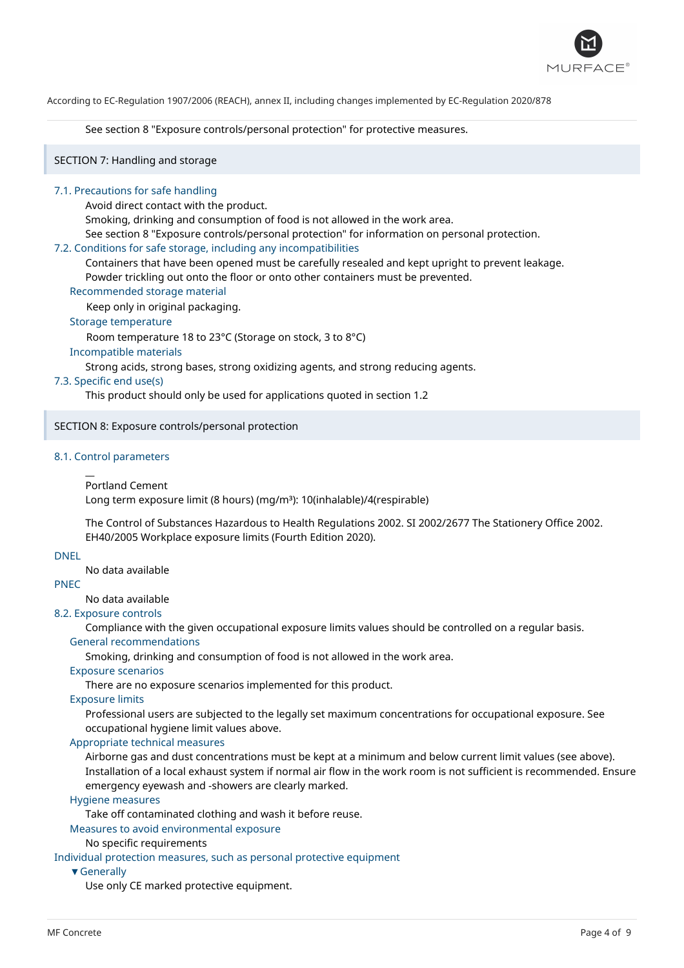

See section 8 "Exposure controls/personal protection" for protective measures.

SECTION 7: Handling and storage

#### 7.1. Precautions for safe handling

Avoid direct contact with the product.

Smoking, drinking and consumption of food is not allowed in the work area.

See section 8 "Exposure controls/personal protection" for information on personal protection.

#### 7.2. Conditions for safe storage, including any incompatibilities

Containers that have been opened must be carefully resealed and kept upright to prevent leakage. Powder trickling out onto the floor or onto other containers must be prevented.

#### Recommended storage material

Keep only in original packaging.

Storage temperature

Room temperature 18 to 23°C (Storage on stock, 3 to 8°C)

Incompatible materials

Strong acids, strong bases, strong oxidizing agents, and strong reducing agents.

#### 7.3. Specific end use(s)

This product should only be used for applications quoted in section 1.2

# SECTION 8: Exposure controls/personal protection

#### 8.1. Control parameters

 $\overline{a}$ 

```
Portland Cement
```
Long term exposure limit (8 hours) (mg/m<sup>3</sup>): 10(inhalable)/4(respirable)

The Control of Substances Hazardous to Health Regulations 2002. SI 2002/2677 The Stationery Office 2002. EH40/2005 Workplace exposure limits (Fourth Edition 2020).

#### DNEL

No data available

# PNEC

No data available

# 8.2. Exposure controls

Compliance with the given occupational exposure limits values should be controlled on a regular basis. General recommendations

Smoking, drinking and consumption of food is not allowed in the work area.

# Exposure scenarios

There are no exposure scenarios implemented for this product.

Exposure limits

Professional users are subjected to the legally set maximum concentrations for occupational exposure. See occupational hygiene limit values above.

#### Appropriate technical measures

Airborne gas and dust concentrations must be kept at a minimum and below current limit values (see above). Installation of a local exhaust system if normal air flow in the work room is not sufficient is recommended. Ensure emergency eyewash and -showers are clearly marked.

#### Hygiene measures

Take off contaminated clothing and wash it before reuse.

Measures to avoid environmental exposure

#### No specific requirements

Individual protection measures, such as personal protective equipment

#### ▼Generally

Use only CE marked protective equipment.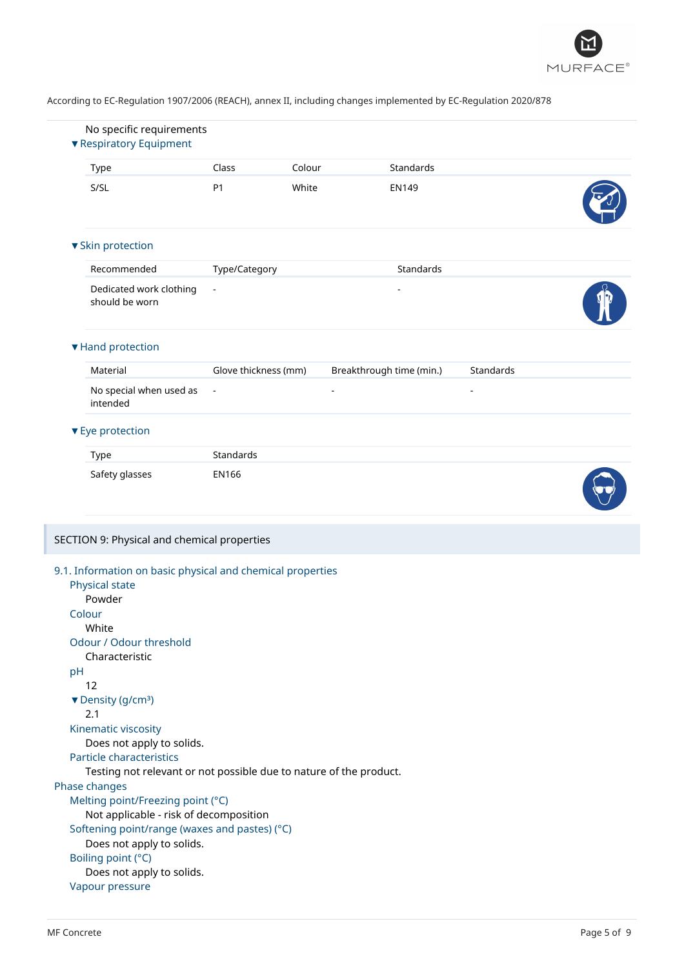

|                 | No specific requirements                                                                                  |                      |        |                          |           |  |
|-----------------|-----------------------------------------------------------------------------------------------------------|----------------------|--------|--------------------------|-----------|--|
|                 | ▼ Respiratory Equipment                                                                                   |                      |        |                          |           |  |
| Type            |                                                                                                           | Class                | Colour | Standards                |           |  |
| S/SL            |                                                                                                           | P <sub>1</sub>       | White  | <b>EN149</b>             |           |  |
|                 | ▼ Skin protection                                                                                         |                      |        |                          |           |  |
|                 | Recommended                                                                                               | Type/Category        |        | Standards                |           |  |
|                 | Dedicated work clothing<br>should be worn                                                                 | $\blacksquare$       |        | $\overline{a}$           |           |  |
|                 | ▼ Hand protection                                                                                         |                      |        |                          |           |  |
|                 | Material                                                                                                  | Glove thickness (mm) |        | Breakthrough time (min.) | Standards |  |
|                 | No special when used as<br>intended                                                                       | $\blacksquare$       |        | $\overline{\phantom{a}}$ |           |  |
|                 | ▼ Eye protection                                                                                          |                      |        |                          |           |  |
| Type            |                                                                                                           | Standards            |        |                          |           |  |
|                 |                                                                                                           |                      |        |                          |           |  |
|                 | Safety glasses                                                                                            | <b>EN166</b>         |        |                          |           |  |
|                 | SECTION 9: Physical and chemical properties<br>9.1. Information on basic physical and chemical properties |                      |        |                          |           |  |
|                 | Physical state                                                                                            |                      |        |                          |           |  |
|                 | Powder                                                                                                    |                      |        |                          |           |  |
| Colour<br>White |                                                                                                           |                      |        |                          |           |  |
|                 | Odour / Odour threshold                                                                                   |                      |        |                          |           |  |
|                 | Characteristic                                                                                            |                      |        |                          |           |  |
| pH              |                                                                                                           |                      |        |                          |           |  |
| 12              |                                                                                                           |                      |        |                          |           |  |
| 2.1             | ▼ Density (g/cm <sup>3</sup> )                                                                            |                      |        |                          |           |  |
|                 | Kinematic viscosity                                                                                       |                      |        |                          |           |  |
|                 | Does not apply to solids.                                                                                 |                      |        |                          |           |  |
|                 | Particle characteristics                                                                                  |                      |        |                          |           |  |
|                 | Testing not relevant or not possible due to nature of the product.                                        |                      |        |                          |           |  |
|                 |                                                                                                           |                      |        |                          |           |  |
|                 | Melting point/Freezing point (°C)                                                                         |                      |        |                          |           |  |
|                 | Not applicable - risk of decomposition                                                                    |                      |        |                          |           |  |
| Phase changes   | Softening point/range (waxes and pastes) (°C)                                                             |                      |        |                          |           |  |
|                 | Does not apply to solids.<br>Boiling point (°C)                                                           |                      |        |                          |           |  |
|                 | Does not apply to solids.                                                                                 |                      |        |                          |           |  |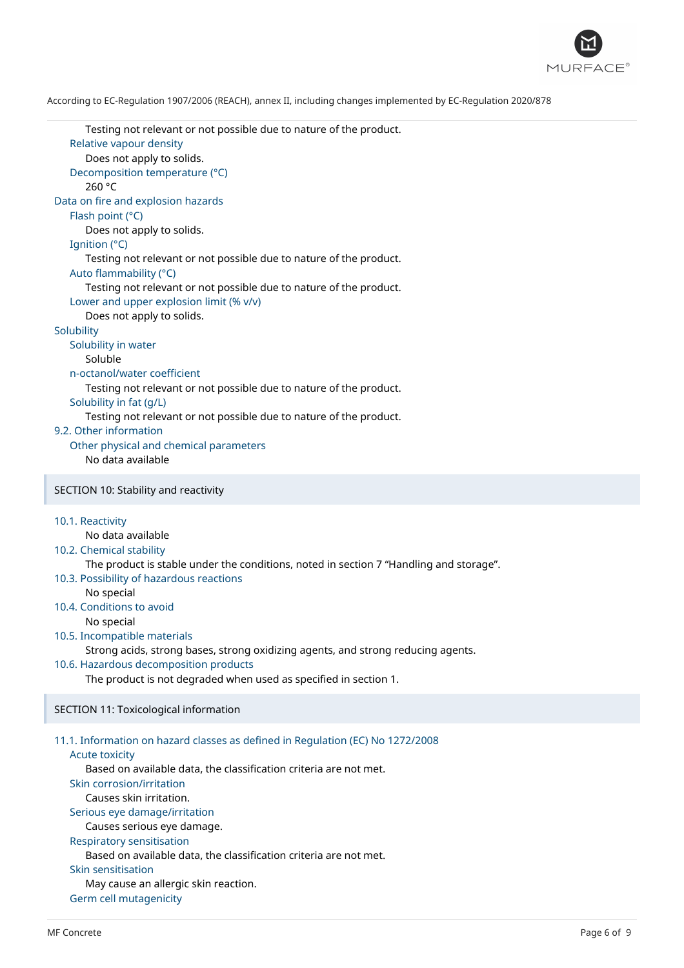

Testing not relevant or not possible due to nature of the product. Relative vapour density Does not apply to solids. Decomposition temperature (°C) 260 °C Data on fire and explosion hazards Flash point (°C) Does not apply to solids. Ignition (°C) Testing not relevant or not possible due to nature of the product. Auto flammability (°C) Testing not relevant or not possible due to nature of the product. Lower and upper explosion limit (% v/v) Does not apply to solids. **Solubility** Solubility in water Soluble n-octanol/water coefficient Testing not relevant or not possible due to nature of the product. Solubility in fat (g/L) Testing not relevant or not possible due to nature of the product. 9.2. Other information Other physical and chemical parameters No data available SECTION 10: Stability and reactivity 10.1. Reactivity No data available 10.2. Chemical stability The product is stable under the conditions, noted in section 7 "Handling and storage". 10.3. Possibility of hazardous reactions No special 10.4. Conditions to avoid No special 10.5. Incompatible materials Strong acids, strong bases, strong oxidizing agents, and strong reducing agents. 10.6. Hazardous decomposition products The product is not degraded when used as specified in section 1. SECTION 11: Toxicological information 11.1. Information on hazard classes as defined in Regulation (EC) No 1272/2008 Acute toxicity Based on available data, the classification criteria are not met. Skin corrosion/irritation Causes skin irritation. Serious eye damage/irritation Causes serious eye damage. Respiratory sensitisation Based on available data, the classification criteria are not met. Skin sensitisation May cause an allergic skin reaction. Germ cell mutagenicity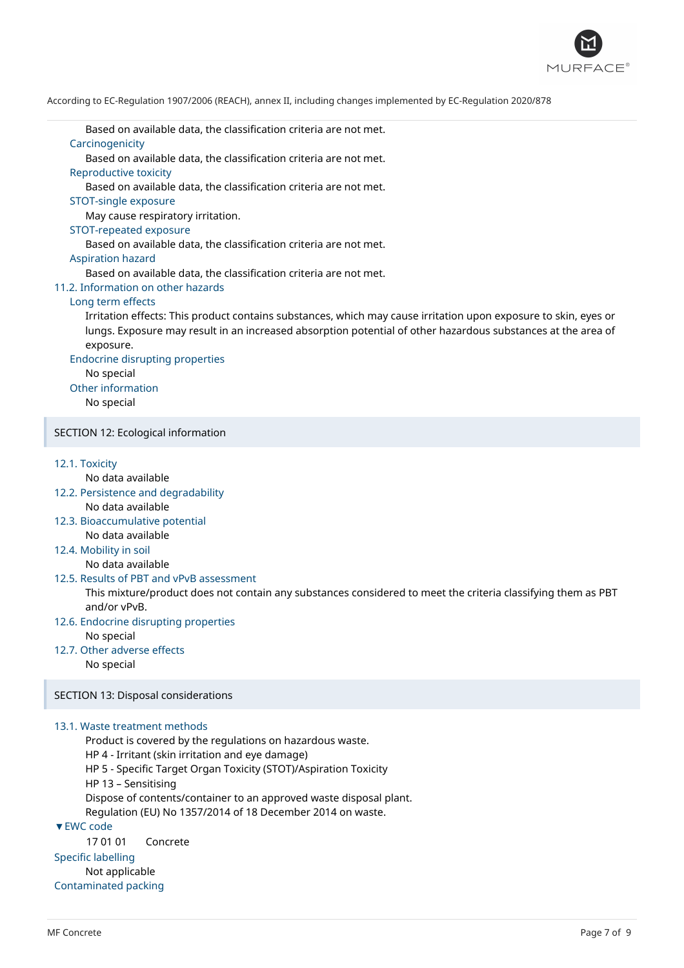

Based on available data, the classification criteria are not met. Carcinogenicity

Based on available data, the classification criteria are not met.

Reproductive toxicity

Based on available data, the classification criteria are not met.

# STOT-single exposure

May cause respiratory irritation.

#### STOT-repeated exposure

Based on available data, the classification criteria are not met.

#### Aspiration hazard

Based on available data, the classification criteria are not met.

# 11.2. Information on other hazards

# Long term effects

Irritation effects: This product contains substances, which may cause irritation upon exposure to skin, eyes or lungs. Exposure may result in an increased absorption potential of other hazardous substances at the area of exposure.

Endocrine disrupting properties

No special

Other information

No special

# SECTION 12: Ecological information

#### 12.1. Toxicity

No data available

- 12.2. Persistence and degradability No data available
- 12.3. Bioaccumulative potential No data available
- 12.4. Mobility in soil

No data available

# 12.5. Results of PBT and vPvB assessment

This mixture/product does not contain any substances considered to meet the criteria classifying them as PBT and/or vPvB.

12.6. Endocrine disrupting properties

No special

12.7. Other adverse effects

No special

SECTION 13: Disposal considerations

# 13.1. Waste treatment methods

Not applicable Contaminated packing

Product is covered by the regulations on hazardous waste. HP 4 - Irritant (skin irritation and eye damage) HP 5 - Specific Target Organ Toxicity (STOT)/Aspiration Toxicity HP 13 – Sensitising Dispose of contents/container to an approved waste disposal plant. Regulation (EU) No 1357/2014 of 18 December 2014 on waste. ▼EWC code 17 01 01 Concrete Specific labelling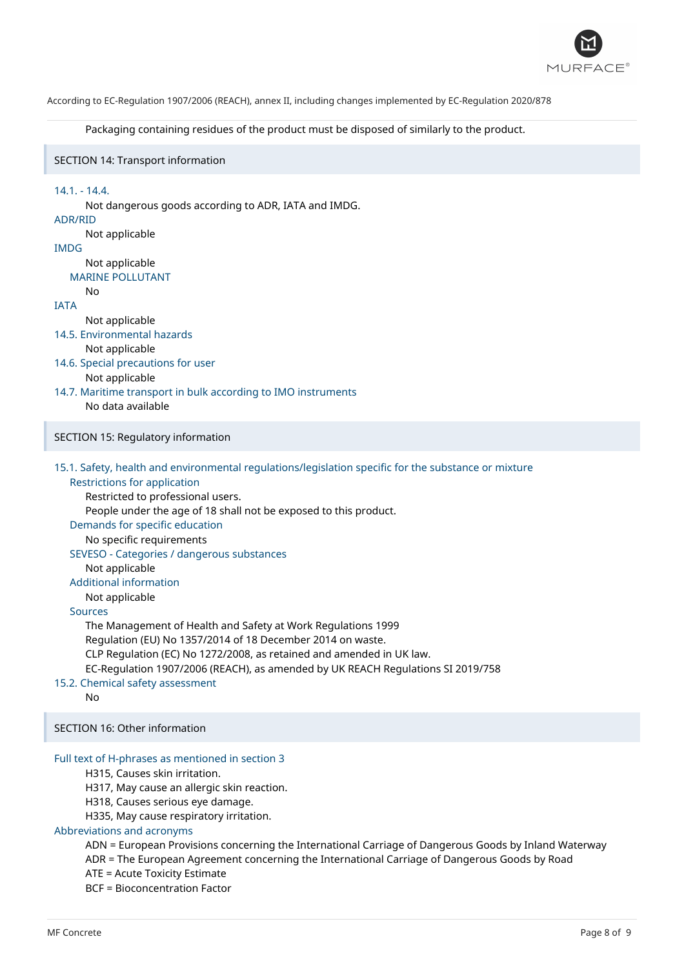

Packaging containing residues of the product must be disposed of similarly to the product.

# SECTION 14: Transport information

#### 14.1. - 14.4.

Not dangerous goods according to ADR, IATA and IMDG. ADR/RID Not applicable IMDG Not applicable MARINE POLLUTANT No IATA Not applicable 14.5. Environmental hazards Not applicable 14.6. Special precautions for user Not applicable 14.7. Maritime transport in bulk according to IMO instruments No data available SECTION 15: Regulatory information

15.1. Safety, health and environmental regulations/legislation specific for the substance or mixture

Restrictions for application Restricted to professional users.

People under the age of 18 shall not be exposed to this product.

Demands for specific education

No specific requirements

SEVESO - Categories / dangerous substances

Not applicable

Additional information

Not applicable

Sources

The Management of Health and Safety at Work Regulations 1999 Regulation (EU) No 1357/2014 of 18 December 2014 on waste. CLP Regulation (EC) No 1272/2008, as retained and amended in UK law. EC-Regulation 1907/2006 (REACH), as amended by UK REACH Regulations SI 2019/758

15.2. Chemical safety assessment

No

SECTION 16: Other information

#### Full text of H-phrases as mentioned in section 3

H315, Causes skin irritation.

H317, May cause an allergic skin reaction.

H318, Causes serious eye damage.

H335, May cause respiratory irritation.

# Abbreviations and acronyms

ADN = European Provisions concerning the International Carriage of Dangerous Goods by Inland Waterway

ADR = The European Agreement concerning the International Carriage of Dangerous Goods by Road

ATE = Acute Toxicity Estimate

BCF = Bioconcentration Factor